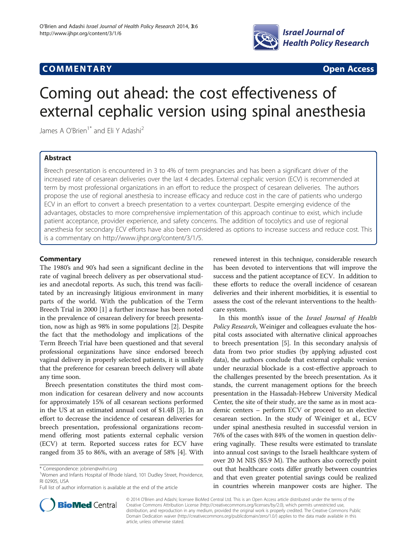

# **COMMENTARY COMMENTARY Open Access**

# Coming out ahead: the cost effectiveness of external cephalic version using spinal anesthesia

James A O'Brien<sup>1\*</sup> and Eli Y Adashi<sup>2</sup>

# Abstract

Breech presentation is encountered in 3 to 4% of term pregnancies and has been a significant driver of the increased rate of cesarean deliveries over the last 4 decades. External cephalic version (ECV) is recommended at term by most professional organizations in an effort to reduce the prospect of cesarean deliveries. The authors propose the use of regional anesthesia to increase efficacy and reduce cost in the care of patients who undergo ECV in an effort to convert a breech presentation to a vertex counterpart. Despite emerging evidence of the advantages, obstacles to more comprehensive implementation of this approach continue to exist, which include patient acceptance, provider experience, and safety concerns. The addition of tocolytics and use of regional anesthesia for secondary ECV efforts have also been considered as options to increase success and reduce cost. This is a commentary on<http://www.ijhpr.org/content/3/1/5>.

# **Commentary**

The 1980's and 90's had seen a significant decline in the rate of vaginal breech delivery as per observational studies and anecdotal reports. As such, this trend was facilitated by an increasingly litigious environment in many parts of the world. With the publication of the Term Breech Trial in 2000 [[1\]](#page-2-0) a further increase has been noted in the prevalence of cesarean delivery for breech presentation, now as high as 98% in some populations [\[2](#page-2-0)]. Despite the fact that the methodology and implications of the Term Breech Trial have been questioned and that several professional organizations have since endorsed breech vaginal delivery in properly selected patients, it is unlikely that the preference for cesarean breech delivery will abate any time soon.

Breech presentation constitutes the third most common indication for cesarean delivery and now accounts for approximately 15% of all cesarean sections performed in the US at an estimated annual cost of \$1.4B [\[3](#page-2-0)]. In an effort to decrease the incidence of cesarean deliveries for breech presentation, professional organizations recommend offering most patients external cephalic version (ECV) at term. Reported success rates for ECV have ranged from 35 to 86%, with an average of 58% [[4](#page-2-0)]. With

renewed interest in this technique, considerable research has been devoted to interventions that will improve the success and the patient acceptance of ECV. In addition to these efforts to reduce the overall incidence of cesarean deliveries and their inherent morbidities, it is essential to assess the cost of the relevant interventions to the healthcare system.

In this month's issue of the Israel Journal of Health Policy Research, Weiniger and colleagues evaluate the hospital costs associated with alternative clinical approaches to breech presentation [\[5](#page-2-0)]. In this secondary analysis of data from two prior studies (by applying adjusted cost data), the authors conclude that external cephalic version under neuraxial blockade is a cost-effective approach to the challenges presented by the breech presentation. As it stands, the current management options for the breech presentation in the Hassadah-Hebrew University Medical Center, the site of their study, are the same as in most academic centers – perform ECV or proceed to an elective cesarean section. In the study of Weiniger et al., ECV under spinal anesthesia resulted in successful version in 76% of the cases with 84% of the women in question delivering vaginally. These results were estimated to translate into annual cost savings to the Israeli healthcare system of over 20 M NIS (\$5.9 M). The authors also correctly point out that healthcare costs differ greatly between countries and that even greater potential savings could be realized in countries wherein manpower costs are higher. The



© 2014 O'Brien and Adashi; licensee BioMed Central Ltd. This is an Open Access article distributed under the terms of the Creative Commons Attribution License (<http://creativecommons.org/licenses/by/2.0>), which permits unrestricted use, distribution, and reproduction in any medium, provided the original work is properly credited. The Creative Commons Public Domain Dedication waiver [\(http://creativecommons.org/publicdomain/zero/1.0/\)](http://creativecommons.org/publicdomain/zero/1.0/) applies to the data made available in this article, unless otherwise stated.

<sup>\*</sup> Correspondence: [jobrien@wihri.org](mailto:jobrien@wihri.org) <sup>1</sup>

<sup>&</sup>lt;sup>1</sup>Women and Infants Hospital of Rhode Island, 101 Dudley Street, Providence, RI 02905, USA

Full list of author information is available at the end of the article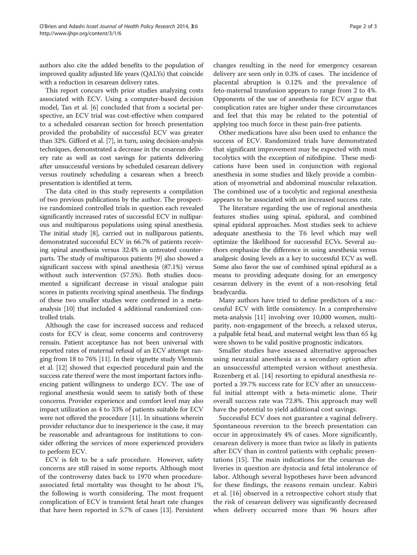authors also cite the added benefits to the population of improved quality adjusted life years (QALYs) that coincide with a reduction in cesarean delivery rates.

This report concurs with prior studies analyzing costs associated with ECV. Using a computer-based decision model, Tan et al. [[6\]](#page-2-0) concluded that from a societal perspective, an ECV trial was cost-effective when compared to a scheduled cesarean section for breech presentation provided the probability of successful ECV was greater than 32%. Gifford et al. [[7](#page-2-0)], in turn, using decision-analysis techniques, demonstrated a decrease in the cesarean delivery rate as well as cost savings for patients delivering after unsuccessful versions by scheduled cesarean delivery versus routinely scheduling a cesarean when a breech presentation is identified at term.

The data cited in this study represents a compilation of two previous publications by the author. The prospective randomized controlled trials in question each revealed significantly increased rates of successful ECV in nulliparous and multiparous populations using spinal anesthesia. The initial study [\[8](#page-2-0)], carried out in nulliparous patients, demonstrated successful ECV in 66.7% of patients receiving spinal anesthesia versus 32.4% in untreated counterparts. The study of multiparous patients [\[9\]](#page-2-0) also showed a significant success with spinal anesthesia (87.1%) versus without such intervention (57.5%). Both studies documented a significant decrease in visual analogue pain scores in patients receiving spinal anesthesia. The findings of these two smaller studies were confirmed in a metaanalysis [\[10\]](#page-2-0) that included 4 additional randomized controlled trials.

Although the case for increased success and reduced costs for ECV is clear, some concerns and controversy remain. Patient acceptance has not been universal with reported rates of maternal refusal of an ECV attempt ranging from 18 to 76% [\[11](#page-2-0)]. In their vignette study Vlemmix et al. [\[12\]](#page-2-0) showed that expected procedural pain and the success rate thereof were the most important factors influencing patient willingness to undergo ECV. The use of regional anesthesia would seem to satisfy both of these concerns. Provider experience and comfort level may also impact utilization as 4 to 33% of patients suitable for ECV were not offered the procedure [\[11\]](#page-2-0). In situations wherein provider reluctance due to inexperience is the case, it may be reasonable and advantageous for institutions to consider offering the services of more experienced providers to perform ECV.

ECV is felt to be a safe procedure. However, safety concerns are still raised in some reports. Although most of the controversy dates back to 1970 when procedureassociated fetal mortality was thought to be about 1%, the following is worth considering. The most frequent complication of ECV is transient fetal heart rate changes that have been reported in 5.7% of cases [\[13\]](#page-2-0). Persistent changes resulting in the need for emergency cesarean delivery are seen only in 0.3% of cases. The incidence of placental abruption is 0.12% and the prevalence of feto-maternal transfusion appears to range from 2 to 4%. Opponents of the use of anesthesia for ECV argue that complication rates are higher under these circumstances and feel that this may be related to the potential of applying too much force in these pain-free patients.

Other medications have also been used to enhance the success of ECV. Randomized trials have demonstrated that significant improvement may be expected with most tocolytics with the exception of nifedipine. These medications have been used in conjunction with regional anesthesia in some studies and likely provide a combination of myometrial and abdominal muscular relaxation. The combined use of a tocolytic and regional anesthesia appears to be associated with an increased success rate.

The literature regarding the use of regional anesthesia features studies using spinal, epidural, and combined spinal epidural approaches. Most studies seek to achieve adequate anesthesia to the T6 level which may well optimize the likelihood for successful ECVs. Several authors emphasize the difference in using anesthesia versus analgesic dosing levels as a key to successful ECV as well. Some also favor the use of combined spinal epidural as a means to providing adequate dosing for an emergency cesarean delivery in the event of a non-resolving fetal bradycardia.

Many authors have tried to define predictors of a successful ECV with little consistency. In a comprehensive meta-analysis [[11\]](#page-2-0) involving over 10,000 women, multiparity, non-engagement of the breech, a relaxed uterus, a palpable fetal head, and maternal weight less than 65 kg were shown to be valid positive prognostic indicators.

Smaller studies have assessed alternative approaches using neuraxial anesthesia as a secondary option after an unsuccessful attempted version without anesthesia. Rozenberg et al. [\[14](#page-2-0)] resorting to epidural anesthesia reported a 39.7% success rate for ECV after an unsuccessful initial attempt with a beta-mimetic alone. Their overall success rate was 72.8%. This approach may well have the potential to yield additional cost savings.

Successful ECV does not guarantee a vaginal delivery. Spontaneous reversion to the breech presentation can occur in approximately 4% of cases. More significantly, cesarean delivery is more than twice as likely in patients after ECV than in control patients with cephalic presentations [[15\]](#page-2-0). The main indications for the cesarean deliveries in question are dystocia and fetal intolerance of labor. Although several hypotheses have been advanced for these findings, the reasons remain unclear. Kabiri et al. [[16\]](#page-2-0) observed in a retrospective cohort study that the risk of cesarean delivery was significantly decreased when delivery occurred more than 96 hours after